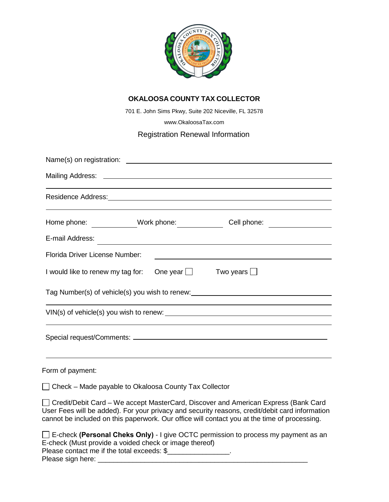

# **OKALOOSA COUNTY TAX COLLECTOR**

701 E. John Sims Pkwy, Suite 202 Niceville, FL 32578

[www.OkaloosaTax.com](http://www.okaloosatax.com/)

# Registration Renewal Information

| Home phone: _____________Work phone: _____________<br>Cell phone: _________________                                                                                                                                                                                                    |
|----------------------------------------------------------------------------------------------------------------------------------------------------------------------------------------------------------------------------------------------------------------------------------------|
| E-mail Address:                                                                                                                                                                                                                                                                        |
| Florida Driver License Number:                                                                                                                                                                                                                                                         |
| I would like to renew my tag for:<br>One year $\Box$ Two years $\Box$                                                                                                                                                                                                                  |
| Tag Number(s) of vehicle(s) you wish to renew: _________________________________                                                                                                                                                                                                       |
|                                                                                                                                                                                                                                                                                        |
|                                                                                                                                                                                                                                                                                        |
|                                                                                                                                                                                                                                                                                        |
|                                                                                                                                                                                                                                                                                        |
| Form of payment:                                                                                                                                                                                                                                                                       |
| □ Check – Made payable to Okaloosa County Tax Collector                                                                                                                                                                                                                                |
| □ Credit/Debit Card – We accept MasterCard, Discover and American Express (Bank Card<br>User Fees will be added). For your privacy and security reasons, credit/debit card information<br>cannot be included on this paperwork. Our office will contact you at the time of processing. |
| $\Box$ E-check (Personal Cheks Only) - I give OCTC permission to process my payment as an                                                                                                                                                                                              |

E-check (Must provide a voided check or image thereof) Please contact me if the total exceeds: \$\_\_\_\_\_\_\_\_\_\_\_\_\_\_\_\_\_.

Please sign here: \_\_\_\_\_\_\_\_\_\_\_\_\_\_\_\_\_\_\_\_\_\_\_\_\_\_\_\_\_\_\_\_\_\_\_\_\_\_\_\_\_\_\_\_\_\_\_\_\_\_\_\_\_\_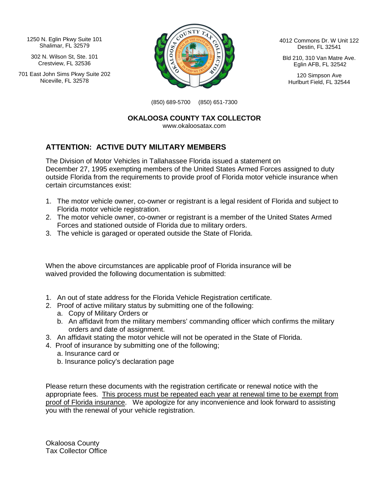1250 N. Eglin Pkwy Suite 101 Shalimar, FL 32579

302 N. Wilson St, Ste. 101 Crestview, FL 32536

701 East John Sims Pkwy Suite 202 Niceville, FL 32578



4012 Commons Dr. W Unit 122 Destin, FL 32541

Bld 210, 310 Van Matre Ave. Eglin AFB, FL 32542

120 Simpson Ave Hurlburt Field, FL 32544

(850) 689-5700 (850) 651-7300

**OKALOOSA COUNTY TAX COLLECTOR**

www.okaloosatax.com

## **ATTENTION: ACTIVE DUTY MILITARY MEMBERS**

The Division of Motor Vehicles in Tallahassee Florida issued a statement on December 27, 1995 exempting members of the United States Armed Forces assigned to duty outside Florida from the requirements to provide proof of Florida motor vehicle insurance when certain circumstances exist:

- 1. The motor vehicle owner, co-owner or registrant is a legal resident of Florida and subject to Florida motor vehicle registration.
- 2. The motor vehicle owner, co-owner or registrant is a member of the United States Armed Forces and stationed outside of Florida due to military orders.
- 3. The vehicle is garaged or operated outside the State of Florida.

When the above circumstances are applicable proof of Florida insurance will be waived provided the following documentation is submitted:

- 1. An out of state address for the Florida Vehicle Registration certificate.
- 2. Proof of active military status by submitting one of the following:
	- a. Copy of Military Orders or
	- b. An affidavit from the military members' commanding officer which confirms the military orders and date of assignment.
- 3. An affidavit stating the motor vehicle will not be operated in the State of Florida.
- 4. Proof of insurance by submitting one of the following;
	- a. Insurance card or
	- b. Insurance policy's declaration page

Please return these documents with the registration certificate or renewal notice with the appropriate fees. This process must be repeated each year at renewal time to be exempt from proof of Florida insurance. We apologize for any inconvenience and look forward to assisting you with the renewal of your vehicle registration.

Okaloosa County Tax Collector Office